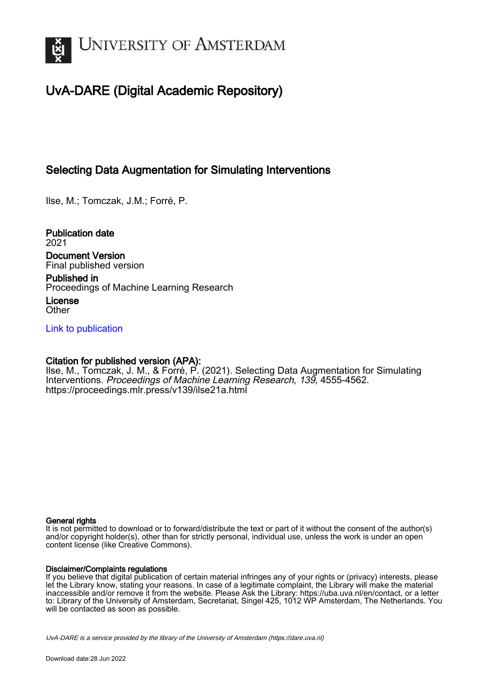

# UvA-DARE (Digital Academic Repository)

# Selecting Data Augmentation for Simulating Interventions

Ilse, M.; Tomczak, J.M.; Forré, P.

Publication date 2021 Document Version Final published version

Published in

Proceedings of Machine Learning Research

License **Other** 

[Link to publication](https://dare.uva.nl/personal/pure/en/publications/selecting-data-augmentation-for-simulating-interventions(a9645b08-97d5-4b71-8382-19b0918f6bb2).html)

# Citation for published version (APA):

Ilse, M., Tomczak, J. M., & Forré, P. (2021). Selecting Data Augmentation for Simulating Interventions. Proceedings of Machine Learning Research, 139, 4555-4562. <https://proceedings.mlr.press/v139/ilse21a.html>

## General rights

It is not permitted to download or to forward/distribute the text or part of it without the consent of the author(s) and/or copyright holder(s), other than for strictly personal, individual use, unless the work is under an open content license (like Creative Commons).

## Disclaimer/Complaints regulations

If you believe that digital publication of certain material infringes any of your rights or (privacy) interests, please let the Library know, stating your reasons. In case of a legitimate complaint, the Library will make the material inaccessible and/or remove it from the website. Please Ask the Library: https://uba.uva.nl/en/contact, or a letter to: Library of the University of Amsterdam, Secretariat, Singel 425, 1012 WP Amsterdam, The Netherlands. You will be contacted as soon as possible.

UvA-DARE is a service provided by the library of the University of Amsterdam (http*s*://dare.uva.nl)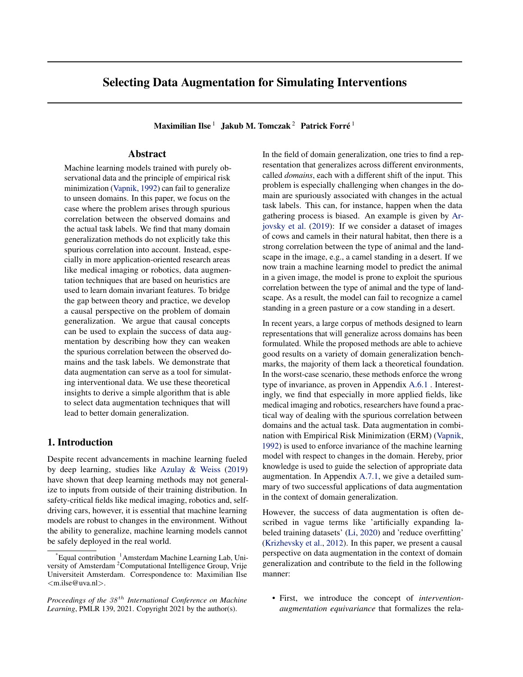# Selecting Data Augmentation for Simulating Interventions

Maximilian Ilse  $^1\;$  Jakub M. Tomczak  $^2\;$  Patrick Forré  $^1\;$ 

## Abstract

Machine learning models trained with purely observational data and the principle of empirical risk minimization (Vapnik, 1992) can fail to generalize to unseen domains. In this paper, we focus on the case where the problem arises through spurious correlation between the observed domains and the actual task labels. We find that many domain generalization methods do not explicitly take this spurious correlation into account. Instead, especially in more application-oriented research areas like medical imaging or robotics, data augmentation techniques that are based on heuristics are used to learn domain invariant features. To bridge the gap between theory and practice, we develop a causal perspective on the problem of domain generalization. We argue that causal concepts can be used to explain the success of data augmentation by describing how they can weaken the spurious correlation between the observed domains and the task labels. We demonstrate that data augmentation can serve as a tool for simulating interventional data. We use these theoretical insights to derive a simple algorithm that is able to select data augmentation techniques that will lead to better domain generalization.

### 1. Introduction

Despite recent advancements in machine learning fueled by deep learning, studies like Azulay & Weiss (2019) have shown that deep learning methods may not generalize to inputs from outside of their training distribution. In safety-critical fields like medical imaging, robotics and, selfdriving cars, however, it is essential that machine learning models are robust to changes in the environment. Without the ability to generalize, machine learning models cannot be safely deployed in the real world.

In the field of domain generalization, one tries to find a representation that generalizes across different environments, called *domains*, each with a different shift of the input. This problem is especially challenging when changes in the domain are spuriously associated with changes in the actual task labels. This can, for instance, happen when the data gathering process is biased. An example is given by Arjovsky et al. (2019): If we consider a dataset of images of cows and camels in their natural habitat, then there is a strong correlation between the type of animal and the landscape in the image, e.g., a camel standing in a desert. If we now train a machine learning model to predict the animal in a given image, the model is prone to exploit the spurious correlation between the type of animal and the type of landscape. As a result, the model can fail to recognize a camel standing in a green pasture or a cow standing in a desert.

In recent years, a large corpus of methods designed to learn representations that will generalize across domains has been formulated. While the proposed methods are able to achieve good results on a variety of domain generalization benchmarks, the majority of them lack a theoretical foundation. In the worst-case scenario, these methods enforce the wrong type of invariance, as proven in Appendix A.6.1 . Interestingly, we find that especially in more applied fields, like medical imaging and robotics, researchers have found a practical way of dealing with the spurious correlation between domains and the actual task. Data augmentation in combination with Empirical Risk Minimization (ERM) (Vapnik, 1992) is used to enforce invariance of the machine learning model with respect to changes in the domain. Hereby, prior knowledge is used to guide the selection of appropriate data augmentation. In Appendix A.7.1, we give a detailed summary of two successful applications of data augmentation in the context of domain generalization.

However, the success of data augmentation is often described in vague terms like 'artificially expanding labeled training datasets' (Li, 2020) and 'reduce overfitting' (Krizhevsky et al., 2012). In this paper, we present a causal perspective on data augmentation in the context of domain generalization and contribute to the field in the following manner:

• First, we introduce the concept of *interventionaugmentation equivariance* that formalizes the rela-

 $E$ qual contribution <sup>1</sup>Amsterdam Machine Learning Lab, University of Amsterdam <sup>2</sup>Computational Intelligence Group, Vrije Universiteit Amsterdam. Correspondence to: Maximilian Ilse <m.ilse@uva.nl>.

*Proceedings of the*  $38<sup>th</sup>$  *International Conference on Machine Learning*, PMLR 139, 2021. Copyright 2021 by the author(s).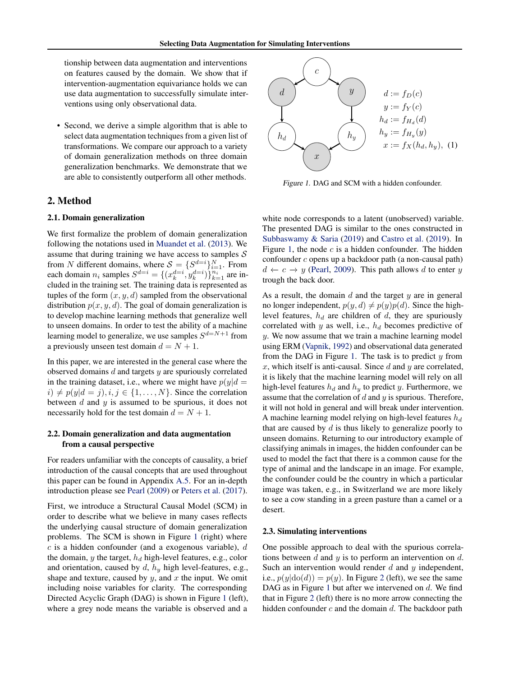<span id="page-2-0"></span>tionship between data augmentation and interventions on features caused by the domain. We show that if intervention-augmentation equivariance holds we can use data augmentation to successfully simulate interventions using only observational data.

• Second, we derive a simple algorithm that is able to select data augmentation techniques from a given list of transformations. We compare our approach to a variety of domain generalization methods on three domain generalization benchmarks. We demonstrate that we are able to consistently outperform all other methods.

#### 2. Method

#### 2.1. Domain generalization

We first formalize the problem of domain generalization following the notations used in Muandet et al. (2013). We assume that during training we have access to samples  $S$ from N different domains, where  $S = \{S^{d=i}\}_{i=1}^N$ . From each domain  $n_i$  samples  $S^{d=i} = \{(x_k^{d=i}, y_k^{d=i})\}_{k=1}^{n_i}$  are included in the training set. The training data is represented as tuples of the form  $(x, y, d)$  sampled from the observational distribution  $p(x, y, d)$ . The goal of domain generalization is to develop machine learning methods that generalize well to unseen domains. In order to test the ability of a machine learning model to generalize, we use samples  $S^{d=N+1}$  from a previously unseen test domain  $d = N + 1$ .

In this paper, we are interested in the general case where the observed domains  $d$  and targets  $y$  are spuriously correlated in the training dataset, i.e., where we might have  $p(y|d =$  $i) \neq p(y|d = j), i, j \in \{1, \ldots, N\}$ . Since the correlation between  $d$  and  $y$  is assumed to be spurious, it does not necessarily hold for the test domain  $d = N + 1$ .

#### 2.2. Domain generalization and data augmentation from a causal perspective

For readers unfamiliar with the concepts of causality, a brief introduction of the causal concepts that are used throughout this paper can be found in Appendix A.5. For an in-depth introduction please see Pearl (2009) or Peters et al. (2017).

First, we introduce a Structural Causal Model (SCM) in order to describe what we believe in many cases reflects the underlying causal structure of domain generalization problems. The SCM is shown in Figure 1 (right) where  $c$  is a hidden confounder (and a exogenous variable),  $d$ the domain,  $y$  the target,  $h_d$  high-level features, e.g., color and orientation, caused by  $d$ ,  $h_y$  high level-features, e.g., shape and texture, caused by  $y$ , and  $x$  the input. We omit including noise variables for clarity. The corresponding Directed Acyclic Graph (DAG) is shown in Figure 1 (left), where a grey node means the variable is observed and a



Figure 1. DAG and SCM with a hidden confounder.

white node corresponds to a latent (unobserved) variable. The presented DAG is similar to the ones constructed in Subbaswamy & Saria (2019) and Castro et al. (2019). In Figure 1, the node  $c$  is a hidden confounder. The hidden confounder c opens up a backdoor path (a non-causal path)  $d \leftarrow c \rightarrow y$  (Pearl, 2009). This path allows d to enter y trough the back door.

As a result, the domain  $d$  and the target  $y$  are in general no longer independent,  $p(y, d) \neq p(y)p(d)$ . Since the highlevel features,  $h_d$  are children of d, they are spuriously correlated with y as well, i.e.,  $h_d$  becomes predictive of y. We now assume that we train a machine learning model using ERM (Vapnik, 1992) and observational data generated from the DAG in Figure 1. The task is to predict  $y$  from  $x$ , which itself is anti-causal. Since  $d$  and  $y$  are correlated, it is likely that the machine learning model will rely on all high-level features  $h_d$  and  $h_y$  to predict y. Furthermore, we assume that the correlation of  $d$  and  $y$  is spurious. Therefore, it will not hold in general and will break under intervention. A machine learning model relying on high-level features  $h_d$ that are caused by  $d$  is thus likely to generalize poorly to unseen domains. Returning to our introductory example of classifying animals in images, the hidden confounder can be used to model the fact that there is a common cause for the type of animal and the landscape in an image. For example, the confounder could be the country in which a particular image was taken, e.g., in Switzerland we are more likely to see a cow standing in a green pasture than a camel or a desert.

#### 2.3. Simulating interventions

One possible approach to deal with the spurious correlations between d and y is to perform an intervention on d. Such an intervention would render  $d$  and  $y$  independent, i.e.,  $p(y|\text{do}(d)) = p(y)$ . In Figure [2](#page-4-0) (left), we see the same DAG as in Figure 1 but after we intervened on d. We find that in Figure [2](#page-4-0) (left) there is no more arrow connecting the hidden confounder  $c$  and the domain  $d$ . The backdoor path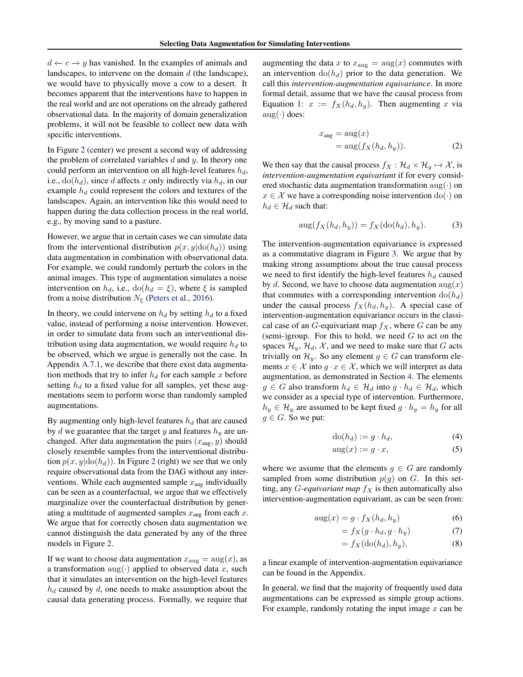<span id="page-3-0"></span> $d \leftarrow c \rightarrow y$  has vanished. In the examples of animals and landscapes, to intervene on the domain  $d$  (the landscape), we would have to physically move a cow to a desert. It becomes apparent that the interventions have to happen in the real world and are not operations on the already gathered observational data. In the majority of domain generalization problems, it will not be feasible to collect new data with specific interventions.

In Figure [2](#page-4-0) (center) we present a second way of addressing the problem of correlated variables  $d$  and  $y$ . In theory one could perform an intervention on all high-level features  $h_d$ , i.e.,  $do(h_d)$ , since d affects x only indirectly via  $h_d$ , in our example  $h_d$  could represent the colors and textures of the landscapes. Again, an intervention like this would need to happen during the data collection process in the real world, e.g., by moving sand to a pasture.

However, we argue that in certain cases we can simulate data from the interventional distribution  $p(x, y | do(h_d))$  using data augmentation in combination with observational data. For example, we could randomly perturb the colors in the animal images. This type of augmentation simulates a noise intervention on  $h_d$ , i.e.,  $dofh_d = \xi$ ), where  $\xi$  is sampled from a noise distribution  $N_{\xi}$  (Peters et al., 2016).

In theory, we could intervene on  $h_d$  by setting  $h_d$  to a fixed value, instead of performing a noise intervention. However, in order to simulate data from such an interventional distribution using data augmentation, we would require  $h_d$  to be observed, which we argue is generally not the case. In Appendix A.7.1, we describe that there exist data augmentation methods that try to infer  $h_d$  for each sample x before setting  $h_d$  to a fixed value for all samples, yet these augmentations seem to perform worse than randomly sampled augmentations.

By augmenting only high-level features  $h_d$  that are caused by  $d$  we guarantee that the target  $y$  and features  $h_y$  are unchanged. After data augmentation the pairs  $(x_{\text{aug}}, y)$  should closely resemble samples from the interventional distribution  $p(x, y | do(h_d))$ . In Figure [2](#page-4-0) (right) we see that we only require observational data from the DAG without any interventions. While each augmented sample  $x_{\text{aug}}$  individually can be seen as a counterfactual, we argue that we effectively marginalize over the counterfactual distribution by generating a multitude of augmented samples  $x_{\text{aug}}$  from each x. We argue that for correctly chosen data augmentation we cannot distinguish the data generated by any of the three models in Figure [2.](#page-4-0)

If we want to choose data augmentation  $x_{\text{aug}} = \text{aug}(x)$ , as a transformation  $\text{aug}(\cdot)$  applied to observed data x, such that it simulates an intervention on the high-level features  $h_d$  caused by  $d$ , one needs to make assumption about the causal data generating process. Formally, we require that

augmenting the data x to  $x_{\text{aug}} = \text{aug}(x)$  commutes with an intervention  $dof (h_d)$  prior to the data generation. We call this *intervention-augmentation equivariance*. In more formal detail, assume that we have the causal process from Equation [1:](#page-2-0)  $x := f_X(h_d, h_y)$ . Then augmenting x via  $\text{aug}(\cdot)$  does:

$$
x_{\text{aug}} = \text{aug}(x)
$$
  
= 
$$
\text{aug}(f_X(h_d, h_y)).
$$
 (2)

We then say that the causal process  $f_X : \mathcal{H}_d \times \mathcal{H}_y \mapsto \mathcal{X}$ , is *intervention-augmentation equivariant* if for every considered stochastic data augmentation transformation  $\text{aug}(\cdot)$  on  $x \in \mathcal{X}$  we have a corresponding noise intervention  $do(\cdot)$  on  $h_d \in \mathcal{H}_d$  such that:

$$
aug(f_X(h_d, h_y)) = f_X(\text{do}(h_d), h_y).
$$
 (3)

The intervention-augmentation equivariance is expressed as a commutative diagram in Figure [3.](#page-4-0) We argue that by making strong assumptions about the true causal process we need to first identify the high-level features  $h_d$  caused by d. Second, we have to choose data augmentation  $\arg(x)$ that commutes with a corresponding intervention  $d\sigma(h_d)$ under the causal process  $f_X(h_d, h_y)$ . A special case of intervention-augmentation equivariance occurs in the classical case of an G-equivariant map  $f_X$ , where G can be any (semi-)group. For this to hold, we need  $G$  to act on the spaces  $\mathcal{H}_y$ ,  $\mathcal{H}_d$ ,  $\mathcal{X}$ , and we need to make sure that G acts trivially on  $\mathcal{H}_y$ . So any element  $g \in G$  can transform elements  $x \in \mathcal{X}$  into  $g \cdot x \in \mathcal{X}$ , which we will interpret as data augmentation, as demonstrated in Section [4.](#page-6-0) The elements  $g \in G$  also transform  $h_d \in \mathcal{H}_d$  into  $g \cdot h_d \in \mathcal{H}_d$ , which we consider as a special type of intervention. Furthermore,  $h_y \in \mathcal{H}_y$  are assumed to be kept fixed  $g \cdot h_y = h_y$  for all  $g \in G$ . So we put:

$$
do(h_d) := g \cdot h_d,\tag{4}
$$

$$
aug(x) := g \cdot x,\tag{5}
$$

where we assume that the elements  $g \in G$  are randomly sampled from some distribution  $p(g)$  on G. In this setting, any *G-equivariant map*  $f_X$  is then automatically also intervention-augmentation equivariant, as can be seen from:

$$
aug(x) = g \cdot f_X(h_d, h_y) \tag{6}
$$

$$
= f_X(g \cdot h_d, g \cdot h_y) \tag{7}
$$

$$
= f_X(\text{do}(h_d), h_y),\tag{8}
$$

a linear example of intervention-augmentation equivariance can be found in the Appendix.

In general, we find that the majority of frequently used data augmentations can be expressed as simple group actions. For example, randomly rotating the input image  $x$  can be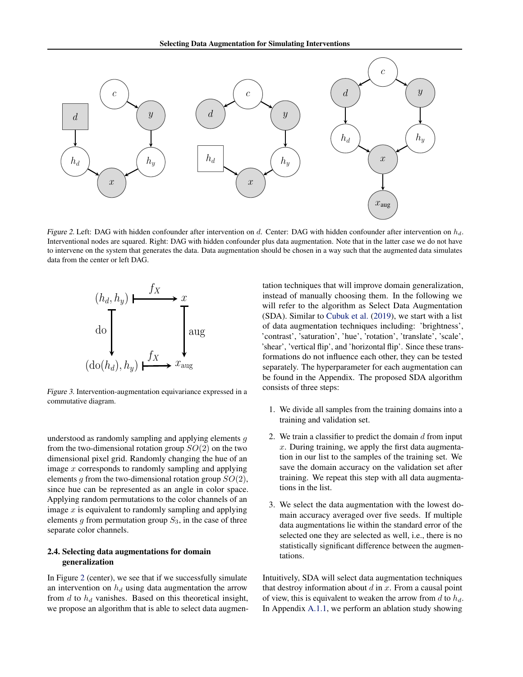<span id="page-4-0"></span>

Figure 2. Left: DAG with hidden confounder after intervention on d. Center: DAG with hidden confounder after intervention on  $h_d$ . Interventional nodes are squared. Right: DAG with hidden confounder plus data augmentation. Note that in the latter case we do not have to intervene on the system that generates the data. Data augmentation should be chosen in a way such that the augmented data simulates data from the center or left DAG.



Figure 3. Intervention-augmentation equivariance expressed in a commutative diagram.

understood as randomly sampling and applying elements  $q$ from the two-dimensional rotation group  $SO(2)$  on the two dimensional pixel grid. Randomly changing the hue of an image x corresponds to randomly sampling and applying elements  $g$  from the two-dimensional rotation group  $SO(2)$ , since hue can be represented as an angle in color space. Applying random permutations to the color channels of an image  $x$  is equivalent to randomly sampling and applying elements  $g$  from permutation group  $S_3$ , in the case of three separate color channels.

#### 2.4. Selecting data augmentations for domain generalization

In Figure 2 (center), we see that if we successfully simulate an intervention on  $h_d$  using data augmentation the arrow from  $d$  to  $h_d$  vanishes. Based on this theoretical insight, we propose an algorithm that is able to select data augmentation techniques that will improve domain generalization, instead of manually choosing them. In the following we will refer to the algorithm as Select Data Augmentation (SDA). Similar to Cubuk et al. (2019), we start with a list of data augmentation techniques including: 'brightness', 'contrast', 'saturation', 'hue', 'rotation', 'translate', 'scale', 'shear', 'vertical flip', and 'horizontal flip'. Since these transformations do not influence each other, they can be tested separately. The hyperparameter for each augmentation can be found in the Appendix. The proposed SDA algorithm consists of three steps:

- 1. We divide all samples from the training domains into a training and validation set.
- 2. We train a classifier to predict the domain  $d$  from input  $x$ . During training, we apply the first data augmentation in our list to the samples of the training set. We save the domain accuracy on the validation set after training. We repeat this step with all data augmentations in the list.
- 3. We select the data augmentation with the lowest domain accuracy averaged over five seeds. If multiple data augmentations lie within the standard error of the selected one they are selected as well, i.e., there is no statistically significant difference between the augmentations.

Intuitively, SDA will select data augmentation techniques that destroy information about  $d$  in  $x$ . From a causal point of view, this is equivalent to weaken the arrow from d to  $h_d$ . In Appendix A.1.1, we perform an ablation study showing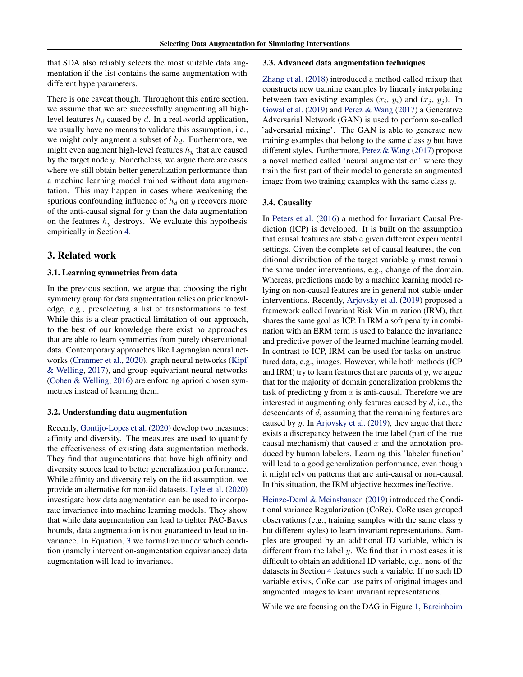that SDA also reliably selects the most suitable data augmentation if the list contains the same augmentation with different hyperparameters.

There is one caveat though. Throughout this entire section, we assume that we are successfully augmenting all highlevel features  $h_d$  caused by d. In a real-world application, we usually have no means to validate this assumption, i.e., we might only augment a subset of  $h_d$ . Furthermore, we might even augment high-level features  $h_y$  that are caused by the target node  $y$ . Nonetheless, we argue there are cases where we still obtain better generalization performance than a machine learning model trained without data augmentation. This may happen in cases where weakening the spurious confounding influence of  $h_d$  on y recovers more of the anti-causal signal for  $y$  than the data augmentation on the features  $h_y$  destroys. We evaluate this hypothesis empirically in Section [4.](#page-6-0)

#### 3. Related work

#### 3.1. Learning symmetries from data

In the previous section, we argue that choosing the right symmetry group for data augmentation relies on prior knowledge, e.g., preselecting a list of transformations to test. While this is a clear practical limitation of our approach, to the best of our knowledge there exist no approaches that are able to learn symmetries from purely observational data. Contemporary approaches like Lagrangian neural networks (Cranmer et al., 2020), graph neural networks (Kipf & Welling, 2017), and group equivariant neural networks (Cohen & Welling, 2016) are enforcing apriori chosen symmetries instead of learning them.

#### 3.2. Understanding data augmentation

Recently, Gontijo-Lopes et al. (2020) develop two measures: affinity and diversity. The measures are used to quantify the effectiveness of existing data augmentation methods. They find that augmentations that have high affinity and diversity scores lead to better generalization performance. While affinity and diversity rely on the iid assumption, we provide an alternative for non-iid datasets. Lyle et al. (2020) investigate how data augmentation can be used to incorporate invariance into machine learning models. They show that while data augmentation can lead to tighter PAC-Bayes bounds, data augmentation is not guaranteed to lead to invariance. In Equation, [3](#page-3-0) we formalize under which condition (namely intervention-augmentation equivariance) data augmentation will lead to invariance.

#### 3.3. Advanced data augmentation techniques

Zhang et al. (2018) introduced a method called mixup that constructs new training examples by linearly interpolating between two existing examples  $(x_i, y_i)$  and  $(x_j, y_j)$ . In Gowal et al. (2019) and Perez & Wang (2017) a Generative Adversarial Network (GAN) is used to perform so-called 'adversarial mixing'. The GAN is able to generate new training examples that belong to the same class  $y$  but have different styles. Furthermore, Perez & Wang (2017) propose a novel method called 'neural augmentation' where they train the first part of their model to generate an augmented image from two training examples with the same class y.

#### 3.4. Causality

In Peters et al. (2016) a method for Invariant Causal Prediction (ICP) is developed. It is built on the assumption that causal features are stable given different experimental settings. Given the complete set of causal features, the conditional distribution of the target variable  $y$  must remain the same under interventions, e.g., change of the domain. Whereas, predictions made by a machine learning model relying on non-causal features are in general not stable under interventions. Recently, Arjovsky et al. (2019) proposed a framework called Invariant Risk Minimization (IRM), that shares the same goal as ICP. In IRM a soft penalty in combination with an ERM term is used to balance the invariance and predictive power of the learned machine learning model. In contrast to ICP, IRM can be used for tasks on unstructured data, e.g., images. However, while both methods (ICP and IRM) try to learn features that are parents of  $y$ , we argue that for the majority of domain generalization problems the task of predicting  $y$  from  $x$  is anti-causal. Therefore we are interested in augmenting only features caused by  $d$ , i.e., the descendants of d, assuming that the remaining features are caused by y. In Arjovsky et al. (2019), they argue that there exists a discrepancy between the true label (part of the true causal mechanism) that caused  $x$  and the annotation produced by human labelers. Learning this 'labeler function' will lead to a good generalization performance, even though it might rely on patterns that are anti-causal or non-causal. In this situation, the IRM objective becomes ineffective.

Heinze-Deml & Meinshausen (2019) introduced the Conditional variance Regularization (CoRe). CoRe uses grouped observations (e.g., training samples with the same class  $y$ but different styles) to learn invariant representations. Samples are grouped by an additional ID variable, which is different from the label  $y$ . We find that in most cases it is difficult to obtain an additional ID variable, e.g., none of the datasets in Section [4](#page-6-0) features such a variable. If no such ID variable exists, CoRe can use pairs of original images and augmented images to learn invariant representations.

While we are focusing on the DAG in Figure [1,](#page-2-0) Bareinboim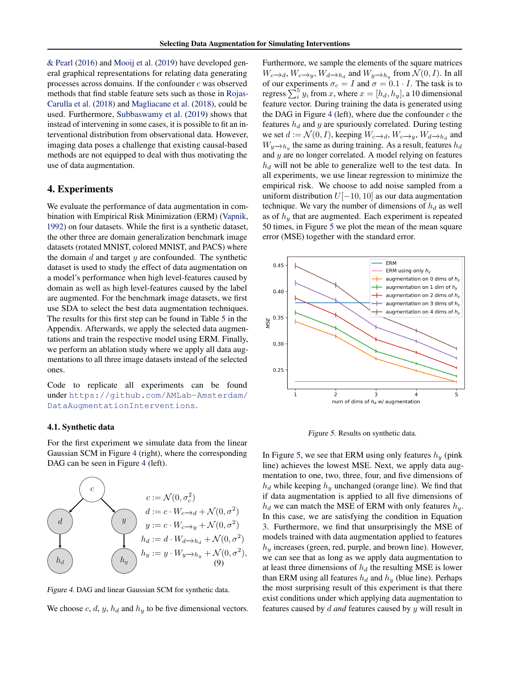<span id="page-6-0"></span>& Pearl (2016) and Mooij et al. (2019) have developed general graphical representations for relating data generating processes across domains. If the confounder  $c$  was observed methods that find stable feature sets such as those in Rojas-Carulla et al. (2018) and Magliacane et al. (2018), could be used. Furthermore, Subbaswamy et al. (2019) shows that instead of intervening in some cases, it is possible to fit an interventional distribution from observational data. However, imaging data poses a challenge that existing causal-based methods are not equipped to deal with thus motivating the use of data augmentation.

#### 4. Experiments

We evaluate the performance of data augmentation in combination with Empirical Risk Minimization (ERM) (Vapnik, 1992) on four datasets. While the first is a synthetic dataset, the other three are domain generalization benchmark image datasets (rotated MNIST, colored MNIST, and PACS) where the domain  $d$  and target  $y$  are confounded. The synthetic dataset is used to study the effect of data augmentation on a model's performance when high level-features caused by domain as well as high level-features caused by the label are augmented. For the benchmark image datasets, we first use SDA to select the best data augmentation techniques. The results for this first step can be found in Table 5 in the Appendix. Afterwards, we apply the selected data augmentations and train the respective model using ERM. Finally, we perform an ablation study where we apply all data augmentations to all three image datasets instead of the selected ones.

Code to replicate all experiments can be found under [https://github.com/AMLab-Amsterdam/](https://github.com/AMLab-Amsterdam/DataAugmentationInterventions) [DataAugmentationInterventions](https://github.com/AMLab-Amsterdam/DataAugmentationInterventions).

#### 4.1. Synthetic data

For the first experiment we simulate data from the linear Gaussian SCM in Figure 4 (right), where the corresponding DAG can be seen in Figure 4 (left).



Figure 4. DAG and linear Gaussian SCM for synthetic data.

We choose c, d, y,  $h_d$  and  $h_u$  to be five dimensional vectors.

Furthermore, we sample the elements of the square matrices  $W_c \rightarrow d$ ,  $W_c \rightarrow y$ ,  $W_d \rightarrow h_d$  and  $W_y \rightarrow h_y$  from  $\mathcal{N}(0, I)$ . In all of our experiments  $\sigma_c = I$  and  $\sigma = 0.1 \cdot I$ . The task is to regress  $\sum_{i=1}^{5} y_i$  from x, where  $x = [h_d, h_y]$ , a 10 dimensional feature vector. During training the data is generated using the DAG in Figure 4 (left), where due the confounder  $c$  the features  $h_d$  and y are spuriously correlated. During testing we set  $d := \mathcal{N}(0, I)$ , keeping  $W_{c\rightarrow d}$ ,  $W_{c\rightarrow y}$ ,  $W_{d\rightarrow h_d}$  and  $W_y \rightarrow h_y$  the same as during training. As a result, features  $h_d$ and y are no longer correlated. A model relying on features  $h_d$  will not be able to generalize well to the test data. In all experiments, we use linear regression to minimize the empirical risk. We choose to add noise sampled from a uniform distribution  $U[-10, 10]$  as our data augmentation technique. We vary the number of dimensions of  $h_d$  as well as of  $h_y$  that are augmented. Each experiment is repeated 50 times, in Figure 5 we plot the mean of the mean square error (MSE) together with the standard error.



Figure 5. Results on synthetic data.

In Figure 5, we see that ERM using only features  $h_y$  (pink line) achieves the lowest MSE. Next, we apply data augmentation to one, two, three, four, and five dimensions of  $h_d$  while keeping  $h_y$  unchanged (orange line). We find that if data augmentation is applied to all five dimensions of  $h_d$  we can match the MSE of ERM with only features  $h_y$ . In this case, we are satisfying the condition in Equation [3.](#page-3-0) Furthermore, we find that unsurprisingly the MSE of models trained with data augmentation applied to features  $h_y$  increases (green, red, purple, and brown line). However, we can see that as long as we apply data augmentation to at least three dimensions of  $h_d$  the resulting MSE is lower than ERM using all features  $h_d$  and  $h_y$  (blue line). Perhaps the most surprising result of this experiment is that there exist conditions under which applying data augmentation to features caused by d *and* features caused by y will result in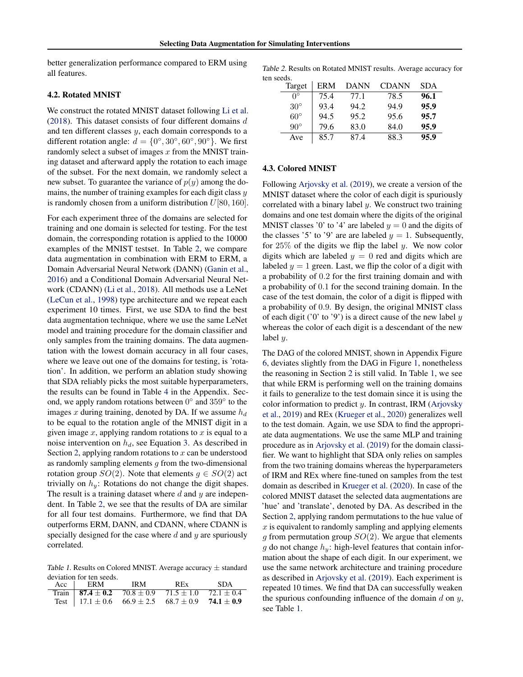better generalization performance compared to ERM using all features.

#### 4.2. Rotated MNIST

We construct the rotated MNIST dataset following Li et al. (2018). This dataset consists of four different domains  $d$ and ten different classes  $y$ , each domain corresponds to a different rotation angle:  $d = \{0^\circ, 30^\circ, 60^\circ, 90^\circ\}$ . We first randomly select a subset of images  $x$  from the MNIST training dataset and afterward apply the rotation to each image of the subset. For the next domain, we randomly select a new subset. To guarantee the variance of  $p(y)$  among the domains, the number of training examples for each digit class  $y$ is randomly chosen from a uniform distribution  $U[80, 160]$ .

For each experiment three of the domains are selected for training and one domain is selected for testing. For the test domain, the corresponding rotation is applied to the 10000 examples of the MNIST testset. In Table 2, we compare data augmentation in combination with ERM to ERM, a Domain Adversarial Neural Network (DANN) (Ganin et al., 2016) and a Conditional Domain Adversarial Neural Network (CDANN) (Li et al., 2018). All methods use a LeNet (LeCun et al., 1998) type architecture and we repeat each experiment 10 times. First, we use SDA to find the best data augmentation technique, where we use the same LeNet model and training procedure for the domain classifier and only samples from the training domains. The data augmentation with the lowest domain accuracy in all four cases, where we leave out one of the domains for testing, is 'rotation'. In addition, we perform an ablation study showing that SDA reliably picks the most suitable hyperparameters, the results can be found in Table 4 in the Appendix. Second, we apply random rotations between  $0^{\circ}$  and  $359^{\circ}$  to the images x during training, denoted by DA. If we assume  $h_d$ to be equal to the rotation angle of the MNIST digit in a given image  $x$ , applying random rotations to  $x$  is equal to a noise intervention on  $h_d$ , see Equation [3.](#page-3-0) As described in Section [2,](#page-2-0) applying random rotations to  $x$  can be understood as randomly sampling elements  $g$  from the two-dimensional rotation group  $SO(2)$ . Note that elements  $q \in SO(2)$  act trivially on  $h_y$ : Rotations do not change the digit shapes. The result is a training dataset where  $d$  and  $y$  are independent. In Table 2, we see that the results of DA are similar for all four test domains. Furthermore, we find that DA outperforms ERM, DANN, and CDANN, where CDANN is specially designed for the case where  $d$  and  $y$  are spuriously correlated.

Table 1. Results on Colored MNIST. Average accuracy  $\pm$  standard deviation for ten seeds.

| Acc ERM IRM                                                        | REx SDA |  |
|--------------------------------------------------------------------|---------|--|
| Train   87.4 ± 0.2 $70.8 \pm 0.9$ $71.5 \pm 1.0$ $72.1 \pm 0.4$    |         |  |
| Test   $17.1 \pm 0.6$ 66.9 $\pm 2.5$ 68.7 $\pm 0.9$ 74.1 $\pm 0.9$ |         |  |

Table 2. Results on Rotated MNIST results. Average accuracy for ten seeds.

| Target       | ERM  | <b>DANN</b> | CDANN | <b>SDA</b> |
|--------------|------|-------------|-------|------------|
| $0^{\circ}$  | 75.4 | 77.1        | 78.5  | 96.1       |
| $30^\circ$   | 93.4 | 94.2        | 94.9  | 95.9       |
| $60^{\circ}$ | 94.5 | 95.2        | 95.6  | 95.7       |
| $90^{\circ}$ | 79.6 | 83.0        | 84.0  | 95.9       |
| Ave          | 85.7 | 87.4        | 88.3  | 95.9       |

#### 4.3. Colored MNIST

Following Arjovsky et al. (2019), we create a version of the MNIST dataset where the color of each digit is spuriously correlated with a binary label  $y$ . We construct two training domains and one test domain where the digits of the original MNIST classes '0' to '4' are labeled  $y = 0$  and the digits of the classes '5' to '9' are are labeled  $y = 1$ . Subsequently, for  $25\%$  of the digits we flip the label y. We now color digits which are labeled  $y = 0$  red and digits which are labeled  $y = 1$  green. Last, we flip the color of a digit with a probability of 0.2 for the first training domain and with a probability of 0.1 for the second training domain. In the case of the test domain, the color of a digit is flipped with a probability of 0.9. By design, the original MNIST class of each digit ( $'0'$  to  $'9'$ ) is a direct cause of the new label y whereas the color of each digit is a descendant of the new label  $y$ .

The DAG of the colored MNIST, shown in Appendix Figure 6, deviates slightly from the DAG in Figure [1,](#page-2-0) nonetheless the reasoning in Section [2](#page-2-0) is still valid. In Table 1, we see that while ERM is performing well on the training domains it fails to generalize to the test domain since it is using the color information to predict  $y$ . In contrast, IRM (Arjovsky et al., 2019) and REx (Krueger et al., 2020) generalizes well to the test domain. Again, we use SDA to find the appropriate data augmentations. We use the same MLP and training procedure as in Arjovsky et al. (2019) for the domain classifier. We want to highlight that SDA only relies on samples from the two training domains whereas the hyperparameters of IRM and REx where fine-tuned on samples from the test domain as described in Krueger et al. (2020). In case of the colored MNIST dataset the selected data augmentations are 'hue' and 'translate', denoted by DA. As described in the Section [2,](#page-2-0) applying random permutations to the hue value of  $x$  is equivalent to randomly sampling and applying elements g from permutation group  $SO(2)$ . We argue that elements g do not change  $h_y$ : high-level features that contain information about the shape of each digit. In our experiment, we use the same network architecture and training procedure as described in Arjovsky et al. (2019). Each experiment is repeated 10 times. We find that DA can successfully weaken the spurious confounding influence of the domain  $d$  on  $y$ , see Table 1.